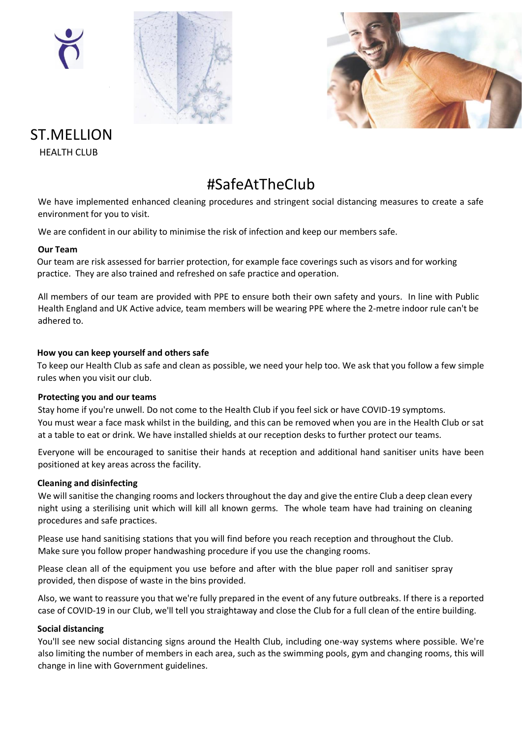





### ST.MELLION HEALTH CLUB

### #SafeAtTheCIub

We have implemented enhanced cleaning procedures and stringent social distancing measures to create a safe environment for you to visit.

We are confident in our ability to minimise the risk of infection and keep our members safe.

#### **Our Team**

Our team are risk assessed for barrier protection, for example face coverings such as visors and for working practice. They are also trained and refreshed on safe practice and operation.

All members of our team are provided with PPE to ensure both their own safety and yours. In line with Public Health England and UK Active advice, team members will be wearing PPE where the 2-metre indoor rule can't be adhered to.

#### **How you can keep yourself and others safe**

To keep our Health Club as safe and clean as possible, we need your help too. We ask that you follow a few simple rules when you visit our club.

#### **Protecting you and our teams**

Stay home if you're unwell. Do not come to the Health Club if you feel sick or have COVID-19 symptoms. You must wear a face mask whilst in the building, and this can be removed when you are in the Health Club or sat at a table to eat or drink. We have installed shields at our reception desks to further protect our teams.

Everyone will be encouraged to sanitise their hands at reception and additional hand sanitiser units have been positioned at key areas across the facility.

#### **Cleaning and disinfecting**

We will sanitise the changing rooms and lockers throughout the day and give the entire Club a deep clean every night using a sterilising unit which will kill all known germs. The whole team have had training on cleaning procedures and safe practices.

Please use hand sanitising stations that you will find before you reach reception and throughout the Club. Make sure you follow proper handwashing procedure if you use the changing rooms.

Please clean all of the equipment you use before and after with the blue paper roll and sanitiser spray provided, then dispose of waste in the bins provided.

Also, we want to reassure you that we're fully prepared in the event of any future outbreaks. If there is a reported case of COVID-19 in our Club, we'll tell you straightaway and close the Club for a full clean of the entire building.

#### **Social distancing**

You'll see new social distancing signs around the Health Club, including one-way systems where possible. We're also limiting the number of members in each area, such as the swimming pools, gym and changing rooms, this will change in line with Government guidelines.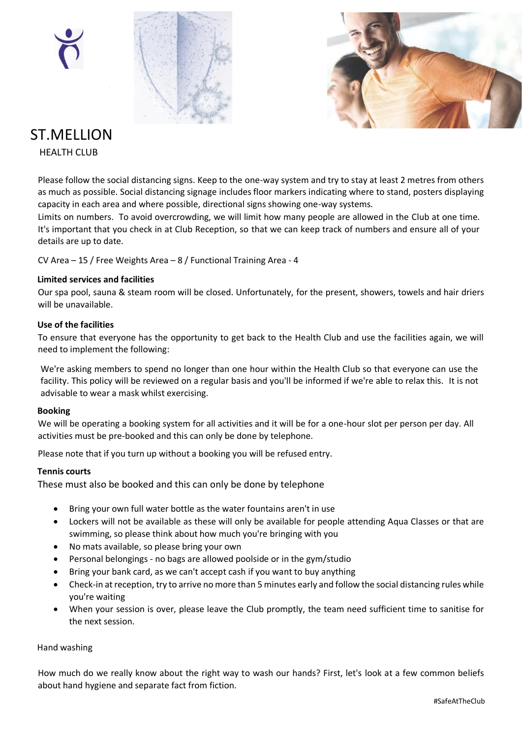





### ST.MELLION

HEALTH CLUB

Please follow the social distancing signs. Keep to the one-way system and try to stay at least 2 metres from others as much as possible. Social distancing signage includes floor markers indicating where to stand, posters displaying capacity in each area and where possible, directional signs showing one-way systems.

Limits on numbers. To avoid overcrowding, we will limit how many people are allowed in the Club at one time. It's important that you check in at Club Reception, so that we can keep track of numbers and ensure all of your details are up to date.

CV Area – 15 / Free Weights Area – 8 / Functional Training Area - 4

#### **Limited services and facilities**

Our spa pool, sauna & steam room will be closed. Unfortunately, for the present, showers, towels and hair driers will be unavailable.

#### **Use of the facilities**

To ensure that everyone has the opportunity to get back to the Health Club and use the facilities again, we will need to implement the following:

We're asking members to spend no longer than one hour within the Health Club so that everyone can use the facility. This policy will be reviewed on a regular basis and you'll be informed if we're able to relax this. It is not advisable to wear a mask whilst exercising.

#### **Booking**

We will be operating a booking system for all activities and it will be for a one-hour slot per person per day. All activities must be pre-booked and this can only be done by telephone.

Please note that if you turn up without a booking you will be refused entry.

#### **Tennis courts**

These must also be booked and this can only be done by telephone

- Bring your own full water bottle as the water fountains aren't in use
- Lockers will not be available as these will only be available for people attending Aqua Classes or that are swimming, so please think about how much you're bringing with you
- No mats available, so please bring your own
- Personal belongings no bags are allowed poolside or in the gym/studio
- Bring your bank card, as we can't accept cash if you want to buy anything
- Check-in at reception, try to arrive no more than 5 minutes early and follow the social distancing rules while you're waiting
- When your session is over, please leave the Club promptly, the team need sufficient time to sanitise for the next session.

#### Hand washing

How much do we really know about the right way to wash our hands? First, let's look at a few common beliefs about hand hygiene and separate fact from fiction.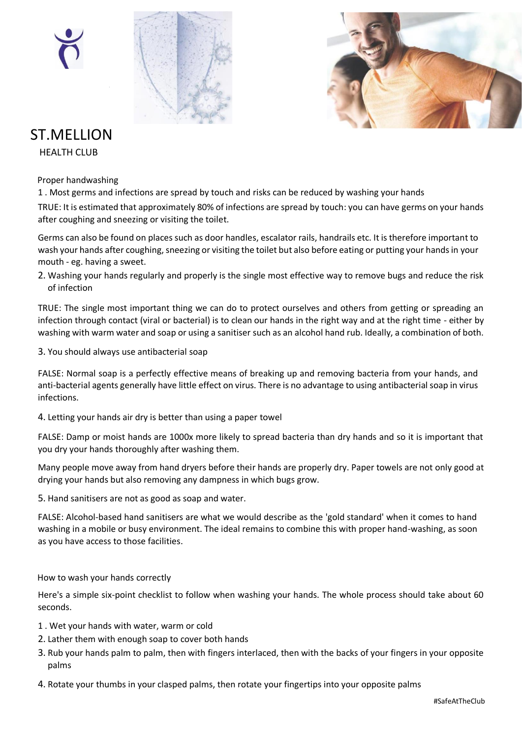





# ST.MELLION

HEALTH CLUB

Proper handwashing

1 . Most germs and infections are spread by touch and risks can be reduced by washing your hands

TRUE: It is estimated that approximately 80% of infections are spread by touch: you can have germs on your hands after coughing and sneezing or visiting the toilet.

Germs can also be found on places such as door handles, escalator rails, handrails etc. It is therefore important to wash your hands after coughing, sneezing or visiting the toilet but also before eating or putting your hands in your mouth - eg. having a sweet.

2. Washing your hands regularly and properly is the single most effective way to remove bugs and reduce the risk of infection

TRUE: The single most important thing we can do to protect ourselves and others from getting or spreading an infection through contact (viral or bacterial) is to clean our hands in the right way and at the right time - either by washing with warm water and soap or using a sanitiser such as an alcohol hand rub. Ideally, a combination of both.

3. You should always use antibacterial soap

FALSE: Normal soap is a perfectly effective means of breaking up and removing bacteria from your hands, and anti-bacterial agents generally have little effect on virus. There is no advantage to using antibacterial soap in virus infections.

4. Letting your hands air dry is better than using a paper towel

FALSE: Damp or moist hands are 1000x more likely to spread bacteria than dry hands and so it is important that you dry your hands thoroughly after washing them.

Many people move away from hand dryers before their hands are properly dry. Paper towels are not only good at drying your hands but also removing any dampness in which bugs grow.

5. Hand sanitisers are not as good as soap and water.

FALSE: Alcohol-based hand sanitisers are what we would describe as the 'gold standard' when it comes to hand washing in a mobile or busy environment. The ideal remains to combine this with proper hand-washing, as soon as you have access to those facilities.

How to wash your hands correctly

Here's a simple six-point checklist to follow when washing your hands. The whole process should take about 60 seconds.

- 1 . Wet your hands with water, warm or cold
- 2. Lather them with enough soap to cover both hands
- 3. Rub your hands palm to palm, then with fingers interlaced, then with the backs of your fingers in your opposite palms
- 4. Rotate your thumbs in your clasped palms, then rotate your fingertips into your opposite palms